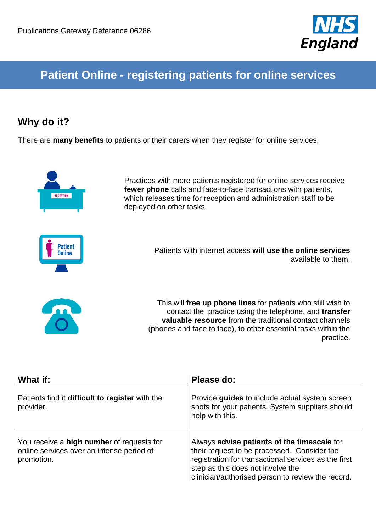

# **Patient Online - registering patients for online services**

## **Why do it?**

There are **many benefits** to patients or their carers when they register for online services.



Practices with more patients registered for online services receive **fewer phone** calls and face-to-face transactions with patients, which releases time for reception and administration staff to be deployed on other tasks.



Patients with internet access **will use the online services** available to them.



This will **free up phone lines** for patients who still wish to contact the practice using the telephone, and **transfer valuable resource** from the traditional contact channels (phones and face to face), to other essential tasks within the practice.

| What if:                                                                                             | Please do:                                                                                                                                                                                                                                   |
|------------------------------------------------------------------------------------------------------|----------------------------------------------------------------------------------------------------------------------------------------------------------------------------------------------------------------------------------------------|
| Patients find it difficult to register with the<br>provider.                                         | Provide guides to include actual system screen<br>shots for your patients. System suppliers should<br>help with this.                                                                                                                        |
| You receive a high number of requests for<br>online services over an intense period of<br>promotion. | Always advise patients of the timescale for<br>their request to be processed. Consider the<br>registration for transactional services as the first<br>step as this does not involve the<br>clinician/authorised person to review the record. |